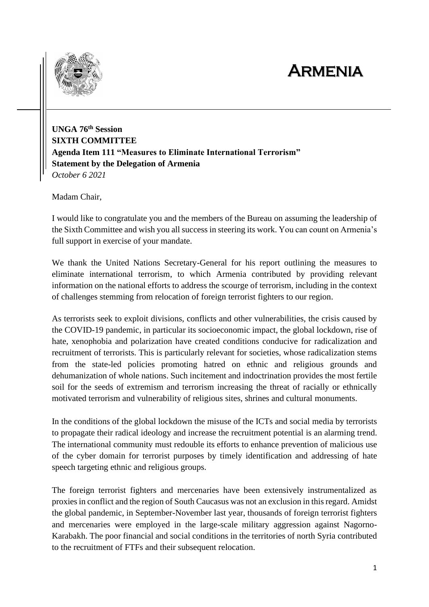## Armenia



**UNGA 76th Session SIXTH COMMITTEE Agenda Item 111 "Measures to Eliminate International Terrorism" Statement by the Delegation of Armenia** *October 6 2021*

Madam Chair,

I would like to congratulate you and the members of the Bureau on assuming the leadership of the Sixth Committee and wish you all success in steering its work. You can count on Armenia's full support in exercise of your mandate.

We thank the United Nations Secretary-General for his report outlining the measures to eliminate international terrorism, to which Armenia contributed by providing relevant information on the national efforts to address the scourge of terrorism, including in the context of challenges stemming from relocation of foreign terrorist fighters to our region.

As terrorists seek to exploit divisions, conflicts and other vulnerabilities, the crisis caused by the COVID-19 pandemic, in particular its socioeconomic impact, the global lockdown, rise of hate, xenophobia and polarization have created conditions conducive for radicalization and recruitment of terrorists. This is particularly relevant for societies, whose radicalization stems from the state-led policies promoting hatred on ethnic and religious grounds and dehumanization of whole nations. Such incitement and indoctrination provides the most fertile soil for the seeds of extremism and terrorism increasing the threat of racially or ethnically motivated terrorism and vulnerability of religious sites, shrines and cultural monuments.

In the conditions of the global lockdown the misuse of the ICTs and social media by terrorists to propagate their radical ideology and increase the recruitment potential is an alarming trend. The international community must redouble its efforts to enhance prevention of malicious use of the cyber domain for terrorist purposes by timely identification and addressing of hate speech targeting ethnic and religious groups.

The foreign terrorist fighters and mercenaries have been extensively instrumentalized as proxies in conflict and the region of South Caucasus was not an exclusion in this regard. Amidst the global pandemic, in September-November last year, thousands of foreign terrorist fighters and mercenaries were employed in the large-scale military aggression against Nagorno-Karabakh. The poor financial and social conditions in the territories of north Syria contributed to the recruitment of FTFs and their subsequent relocation.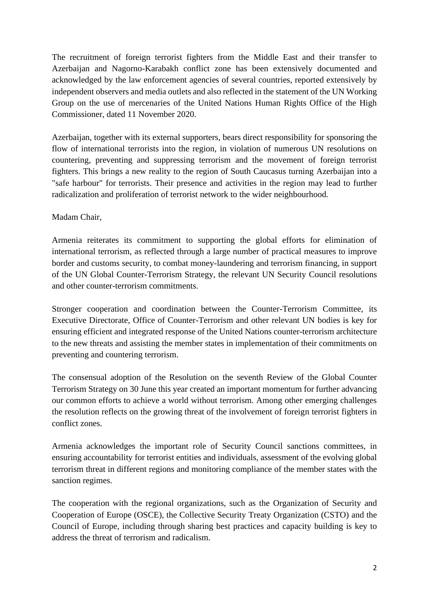The recruitment of foreign terrorist fighters from the Middle East and their transfer to Azerbaijan and Nagorno-Karabakh conflict zone has been extensively documented and acknowledged by the law enforcement agencies of several countries, reported extensively by independent observers and media outlets and also reflected in the statement of the UN Working Group on the use of mercenaries of the United Nations Human Rights Office of the High Commissioner, dated 11 November 2020.

Azerbaijan, together with its external supporters, bears direct responsibility for sponsoring the flow of international terrorists into the region, in violation of numerous UN resolutions on countering, preventing and suppressing terrorism and the movement of foreign terrorist fighters. This brings a new reality to the region of South Caucasus turning Azerbaijan into a "safe harbour" for terrorists. Their presence and activities in the region may lead to further radicalization and proliferation of terrorist network to the wider neighbourhood.

## Madam Chair,

Armenia reiterates its commitment to supporting the global efforts for elimination of international terrorism, as reflected through a large number of practical measures to improve border and customs security, to combat money-laundering and terrorism financing, in support of the UN Global Counter-Terrorism Strategy, the relevant UN Security Council resolutions and other counter-terrorism commitments.

Stronger cooperation and coordination between the Counter-Terrorism Committee, its Executive Directorate, Office of Counter-Terrorism and other relevant UN bodies is key for ensuring efficient and integrated response of the United Nations counter-terrorism architecture to the new threats and assisting the member states in implementation of their commitments on preventing and countering terrorism.

The consensual adoption of the Resolution on the seventh Review of the Global Counter Terrorism Strategy on 30 June this year created an important momentum for further advancing our common efforts to achieve a world without terrorism. Among other emerging challenges the resolution reflects on the growing threat of the involvement of foreign terrorist fighters in conflict zones.

Armenia acknowledges the important role of Security Council sanctions committees, in ensuring accountability for terrorist entities and individuals, assessment of the evolving global terrorism threat in different regions and monitoring compliance of the member states with the sanction regimes.

The cooperation with the regional organizations, such as the Organization of Security and Cooperation of Europe (OSCE), the Collective Security Treaty Organization (CSTO) and the Council of Europe, including through sharing best practices and capacity building is key to address the threat of terrorism and radicalism.